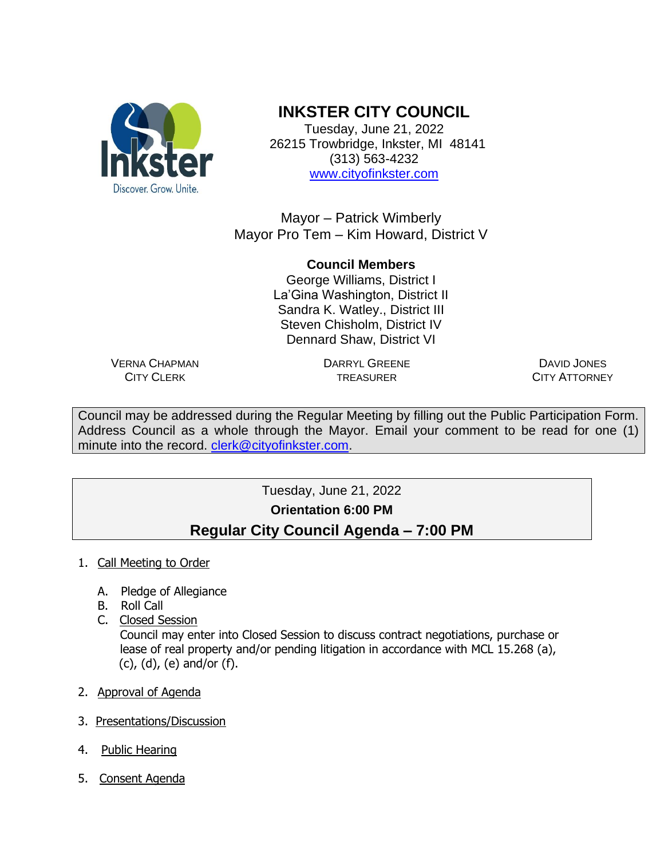

## **INKSTER CITY COUNCIL**

Tuesday, June 21, 2022 26215 Trowbridge, Inkster, MI 48141 (313) 563-4232 [www.cityofinkster.com](http://www.cityofinkster.com/)

Mayor – Patrick Wimberly Mayor Pro Tem – Kim Howard, District V

## **Council Members** George Williams, District I La'Gina Washington, District II Sandra K. Watley., District III Steven Chisholm, District IV Dennard Shaw, District VI

VERNA CHAPMAN CITY CLERK

DARRYL GREENE TREASURER

DAVID JONES CITY ATTORNEY

Council may be addressed during the Regular Meeting by filling out the Public Participation Form. Address Council as a whole through the Mayor. Email your comment to be read for one (1) minute into the record. [clerk@cityofinkster.com.](mailto:clerk@cityofinkster.com)

## Tuesday, June 21, 2022 **Orientation 6:00 PM Regular City Council Agenda – 7:00 PM**

- 1. Call Meeting to Order
	- A. Pledge of Allegiance
	- B. Roll Call
	- C. Closed Session

 Council may enter into Closed Session to discuss contract negotiations, purchase or lease of real property and/or pending litigation in accordance with MCL 15.268 (a), (c), (d), (e) and/or (f).

- 2. Approval of Agenda
- 3. Presentations/Discussion
- 4. Public Hearing
- 5. Consent Agenda